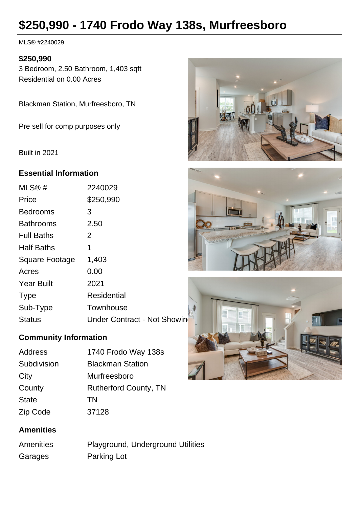# **\$250,990 - 1740 Frodo Way 138s, Murfreesboro**

MLS® #2240029

## **\$250,990**

3 Bedroom, 2.50 Bathroom, 1,403 sqft Residential on 0.00 Acres

Blackman Station, Murfreesboro, TN

Pre sell for comp purposes only

Built in 2021

## **Essential Information**

| MLS@#             | 2240029                     |
|-------------------|-----------------------------|
| Price             | \$250,990                   |
| <b>Bedrooms</b>   | 3                           |
| <b>Bathrooms</b>  | 2.50                        |
| <b>Full Baths</b> | $\overline{2}$              |
| <b>Half Baths</b> | 1                           |
| Square Footage    | 1,403                       |
| Acres             | 0.00                        |
| <b>Year Built</b> | 2021                        |
| <b>Type</b>       | Residential                 |
| Sub-Type          | Townhouse                   |
| <b>Status</b>     | Under Contract - Not Showin |

## **Community Information**

| Address      | 1740 Frodo Way 138s          |
|--------------|------------------------------|
| Subdivision  | <b>Blackman Station</b>      |
| City         | Murfreesboro                 |
| County       | <b>Rutherford County, TN</b> |
| <b>State</b> | TN                           |
| Zip Code     | 37128                        |

## **Amenities**

| Amenities | Playground, Underground Utilities |
|-----------|-----------------------------------|
| Garages   | Parking Lot                       |